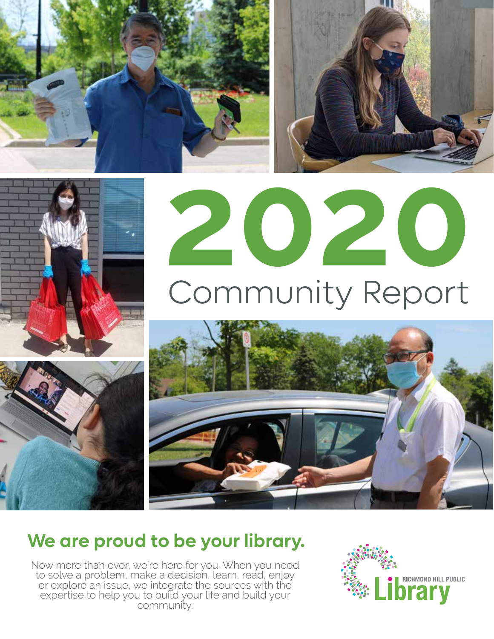





# **2020** Community Report



### **We are proud to be your library.**

Now more than ever, we're here for you. When you need to solve a problem, make a decision, learn, read, enjoy or explore an issue, we integrate the sources with the expertise to help you to build your life and build your community.

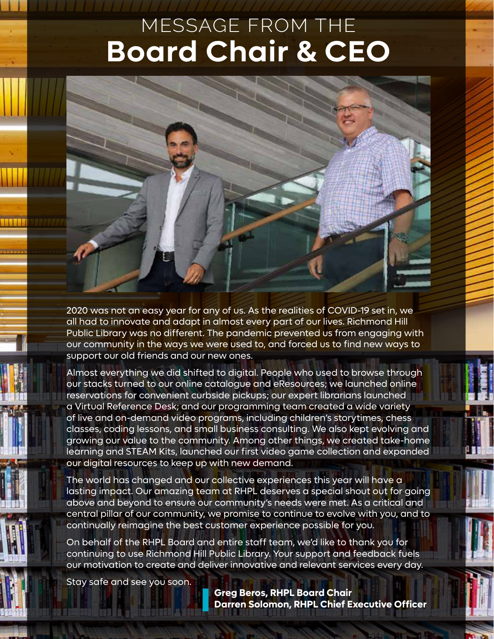### MESSAGE FROM THE **Board Chair & CEO**

2020 was not an easy year for any of us. As the realities of COVID-19 set in, we all had to innovate and adapt in almost every part of our lives. Richmond Hill Public Library was no different. The pandemic prevented us from engaging with our community in the ways we were used to, and forced us to find new ways to support our old friends and our new ones.

Almost everything we did shifted to digital. People who used to browse through our stacks turned to our online catalogue and eResources; we launched online reservations for convenient curbside pickups; our expert librarians launched a Virtual Reference Desk; and our programming team created a wide variety of live and on-demand video programs, including children's storytimes, chess classes, coding lessons, and small business consulting. We also kept evolving and growing our value to the community. Among other things, we created take-home learning and STEAM Kits, launched our first video game collection and expanded our digital resources to keep up with new demand.

The world has changed and our collective experiences this year will have a lasting impact. Our amazing team at RHPL deserves a special shout out for going above and beyond to ensure our community's needs were met. As a critical and central pillar of our community, we promise to continue to evolve with you, and to continually reimagine the best customer experience possible for you.

On behalf of the RHPL Board and entire staff team, we'd like to thank you for continuing to use Richmond Hill Public Library. Your support and feedback fuels our motivation to create and deliver innovative and relevant services every day.

Stay safe and see you soon.

**Greg Beros, RHPL Board Chair Darren Solomon, RHPL Chief Executive Officer**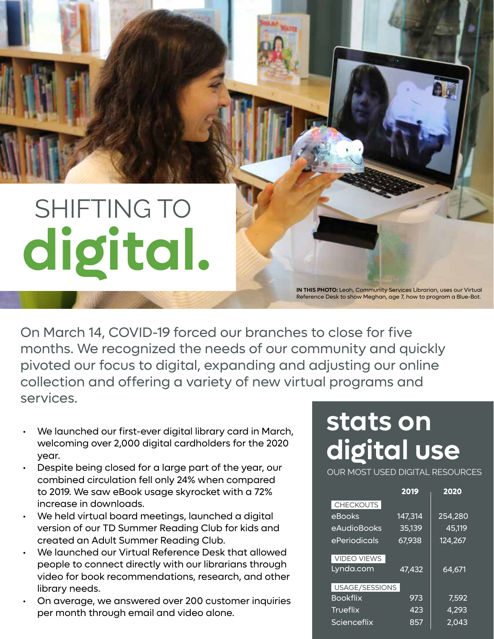## SHIFTING TO **digital.**

**IN THIS PHOTO:** Leah, Community Services Librarian, uses our Virtual Reference Desk to show Meghan, age 7, how to program a Blue-Bot.

On March 14, COVID-19 forced our branches to close for five months. We recognized the needs of our community and quickly pivoted our focus to digital, expanding and adjusting our online collection and offering a variety of new virtual programs and services.

- We launched our first-ever digital library card in March, welcoming over 2,000 digital cardholders for the 2020 year.
- Despite being closed for a large part of the year, our combined circulation fell only 24% when compared to 2019. We saw eBook usage skyrocket with a 72% increase in downloads.
- We held virtual board meetings, launched a digital version of our TD Summer Reading Club for kids and created an Adult Summer Reading Club.
- We launched our Virtual Reference Desk that allowed people to connect directly with our librarians through video for book recommendations, research, and other library needs.
- On average, we answered over 200 customer inquiries per month through email and video alone.

### **stats on digital use**

OUR MOST USED DIGITAL RESOURCES

|                    | 2019    | 2020    |
|--------------------|---------|---------|
| <b>CHECKOUTS</b>   |         |         |
| eBooks             | 147,314 | 254,280 |
| eAudioBooks        | 35,139  | 45,119  |
| ePeriodicals       | 67,938  | 124,267 |
| <b>VIDEO VIEWS</b> |         |         |
| Lynda.com          | 47,432  | 64,671  |
| USAGE/SESSIONS     |         |         |
| <b>Bookflix</b>    | 973     | 7,592   |
| <b>Trueflix</b>    | 423     | 4,293   |
| Scienceflix        | 857     | 2.043   |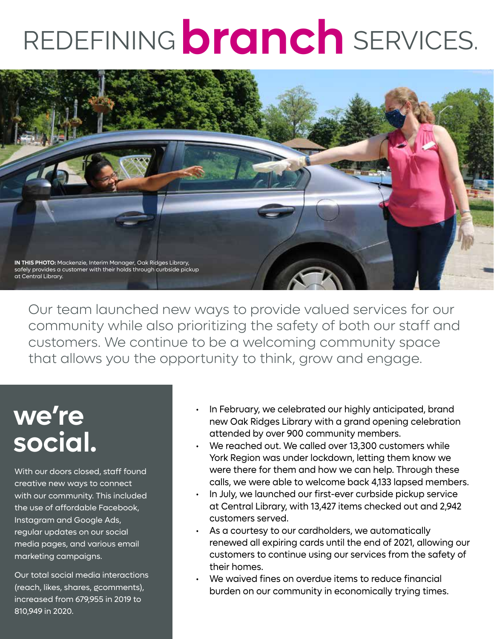## REDEFINING **branch** SERVICES.



Our team launched new ways to provide valued services for our community while also prioritizing the safety of both our staff and customers. We continue to be a welcoming community space that allows you the opportunity to think, grow and engage.

### **we're social.**

With our doors closed, staff found creative new ways to connect with our community. This included the use of affordable Facebook, Instagram and Google Ads, regular updates on our social media pages, and various email marketing campaigns.

Our total social media interactions (reach, likes, shares, gcomments), increased from 679,955 in 2019 to 810,949 in 2020.

- In February, we celebrated our highly anticipated, brand new Oak Ridges Library with a grand opening celebration attended by over 900 community members.
- We reached out. We called over 13,300 customers while York Region was under lockdown, letting them know we were there for them and how we can help. Through these calls, we were able to welcome back 4,133 lapsed members.
- In July, we launched our first-ever curbside pickup service at Central Library, with 13,427 items checked out and 2,942 customers served.
- As a courtesy to our cardholders, we automatically renewed all expiring cards until the end of 2021, allowing our customers to continue using our services from the safety of their homes.
- We waived fines on overdue items to reduce financial burden on our community in economically trying times.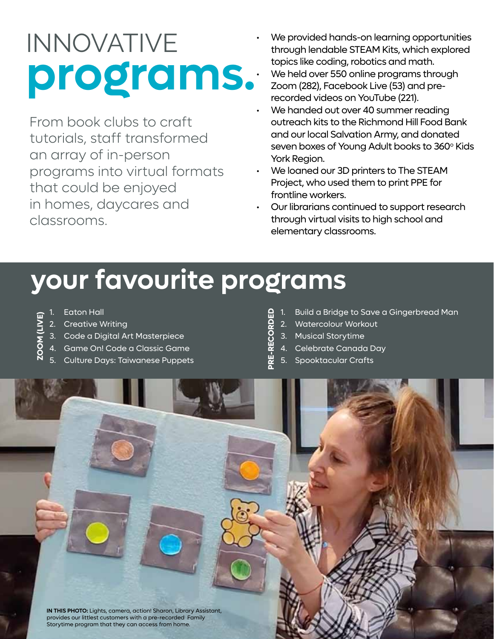### $\text{INNOVATIVE}$  we provided hands-on learning opportunities<br>through lendable STEAM Kits, which explored Experimentative STLP in Final, Window<br>topics like coding, robotics and math.<br>We held over 550 online programs throu<br>recorded videos on YouTube (221).

From book clubs to craft tutorials, staff transformed an array of in-person programs into virtual formats that could be enjoyed in homes, daycares and classrooms.

- topics like coding, robotics and math.
- We held over 550 online programs through
- We handed out over 40 summer reading outreach kits to the Richmond Hill Food Bank and our local Salvation Army, and donated seven boxes of Young Adult books to 360° Kids York Region.
- We loaned our 3D printers to The STEAM Project, who used them to print PPE for frontline workers.
- Our librarians continued to support research through virtual visits to high school and elementary classrooms.

### **your favourite programs**

- 
- 2. Creative Writing
- **ZOOM (LIVE)**<br>**ZOOM (LIVE)**<br>**ZOOM** (LIVE)<br>**ZOOM** (LIVE)<br>**ZOOM** (LIVE)<br>**ZOOM** (LIVE) 3. Code a Digital Art Masterpiece
- 4. Game On! Code a Classic Game
- 5. Culture Days: Taiwanese Puppets
- **Pr**e-Revild a Bridge to Save a Gingerbread Man<br>**Pre-** 2. Watercolour Workout<br>**Pre-** 3. Musical Storytime<br>**Pre- 4.** Celebrate Canada Day
- 2. Watercolour Workout
- 3. Musical Storytime
- 4. Celebrate Canada Day
- 5. Spooktacular Crafts